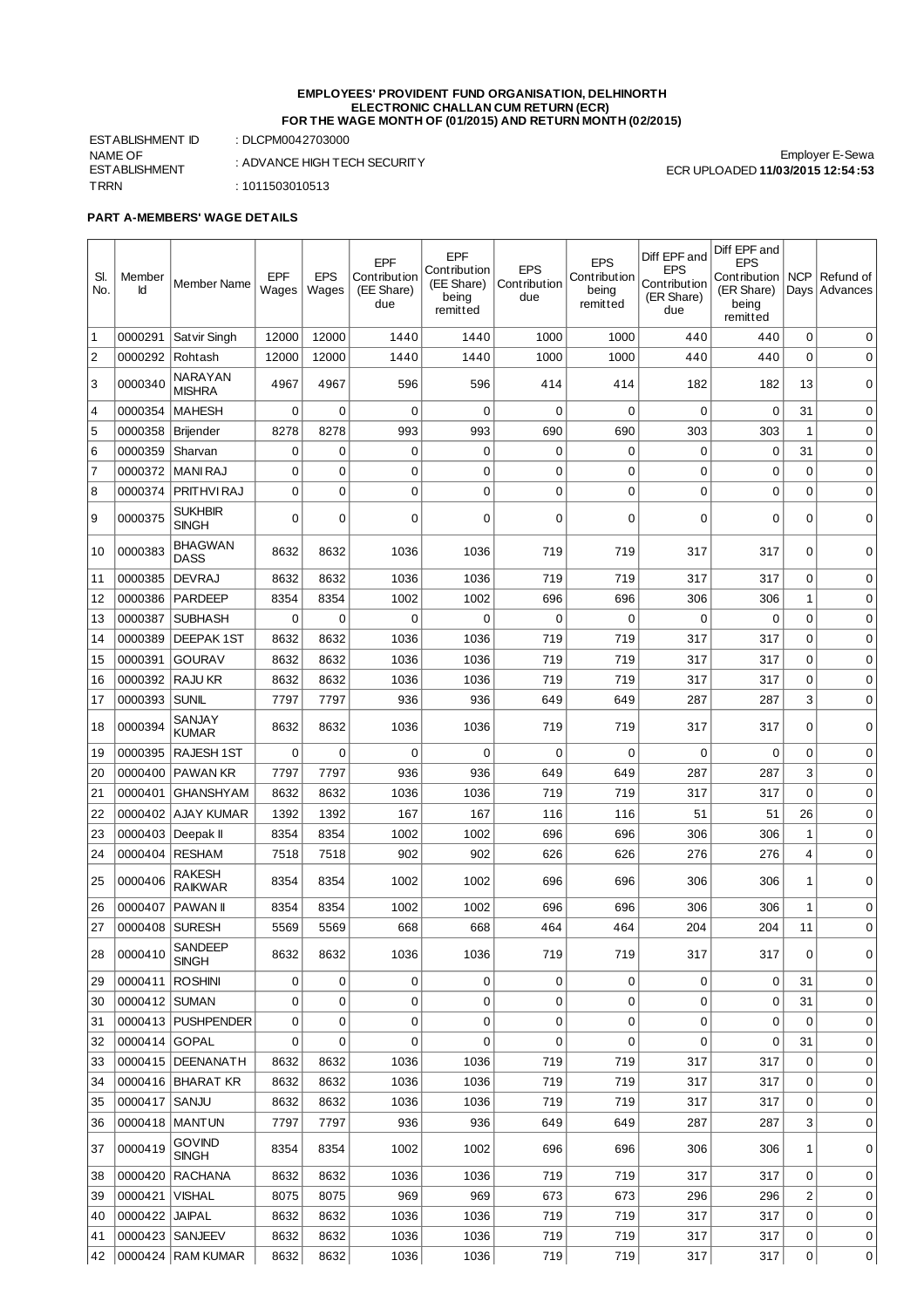## **EMPLOYEES' PROVIDENT FUND ORGANISATION, DELHINORTH ELECTRONIC CHALLAN CUM RETURN (ECR) FOR THE WAGE MONTH OF (01/2015) AND RETURN MONTH (02/2015)**

ESTABLISHMENT ID : DLCPM0042703000 NAME OF ESTABLISHMENT TRRN : 1011503010513

: ADVANCE HIGH TECH SECURITY

**PART A-MEMBERS' WAGE DETAILS**

| SI.<br>No.     | Member<br>Id  | <b>Member Name</b>             | EPF<br>Wages | <b>EPS</b><br>Wages | EPF<br>Contribution<br>(EE Share)<br>due | EPF<br>Contribution<br>(EE Share)<br>being<br>remitted | <b>EPS</b><br>Contribution<br>due | <b>EPS</b><br>Contribution<br>being<br>remitted | Diff EPF and<br><b>EPS</b><br>Contribution<br>(ER Share)<br>due | Diff EPF and<br><b>EPS</b><br>Contribution   NCP<br>(ER Share)<br>being<br>remitted |                     | Refund of<br>Days Advances |
|----------------|---------------|--------------------------------|--------------|---------------------|------------------------------------------|--------------------------------------------------------|-----------------------------------|-------------------------------------------------|-----------------------------------------------------------------|-------------------------------------------------------------------------------------|---------------------|----------------------------|
| 1              | 0000291       | Satvir Singh                   | 12000        | 12000               | 1440                                     | 1440                                                   | 1000                              | 1000                                            | 440                                                             | 440                                                                                 | 0                   | 0                          |
| $\sqrt{2}$     | 0000292       | Rohtash                        | 12000        | 12000               | 1440                                     | 1440                                                   | 1000                              | 1000                                            | 440                                                             | 440                                                                                 | $\mathbf 0$         | 0                          |
| 3              | 0000340       | NARAYAN<br><b>MISHRA</b>       | 4967         | 4967                | 596                                      | 596                                                    | 414                               | 414                                             | 182                                                             | 182                                                                                 | 13                  | 0                          |
| 4              | 0000354       | <b>MAHESH</b>                  | 0            | 0                   | 0                                        | $\mathbf 0$                                            | 0                                 | $\mathbf 0$                                     | 0                                                               | $\mathbf 0$                                                                         | 31                  | 0                          |
| 5              | 0000358       | Brijender                      | 8278         | 8278                | 993                                      | 993                                                    | 690                               | 690                                             | 303                                                             | 303                                                                                 | $\mathbf{1}$        | 0                          |
| 6              | 0000359       | Sharvan                        | 0            | 0                   | 0                                        | 0                                                      | 0                                 | $\mathbf 0$                                     | 0                                                               | 0                                                                                   | 31                  | 0                          |
| $\overline{7}$ | 0000372       | <b>MANI RAJ</b>                | 0            | $\mathbf 0$         | 0                                        | 0                                                      | 0                                 | $\mathbf 0$                                     | 0                                                               | $\mathbf 0$                                                                         | $\mathbf 0$         | 0                          |
| 8              | 0000374       | PRITHVI RAJ                    | 0            | $\mathbf 0$         | 0                                        | 0                                                      | $\mathbf 0$                       | $\mathbf 0$                                     | 0                                                               | 0                                                                                   | $\mathbf 0$         | 0                          |
| 9              | 0000375       | <b>SUKHBIR</b><br><b>SINGH</b> | 0            | 0                   | 0                                        | 0                                                      | $\mathbf 0$                       | $\mathbf 0$                                     | 0                                                               | 0                                                                                   | 0                   | 0                          |
| 10             | 0000383       | <b>BHAGWAN</b><br><b>DASS</b>  | 8632         | 8632                | 1036                                     | 1036                                                   | 719                               | 719                                             | 317                                                             | 317                                                                                 | 0                   | 0                          |
| 11             | 0000385       | <b>DEVRAJ</b>                  | 8632         | 8632                | 1036                                     | 1036                                                   | 719                               | 719                                             | 317                                                             | 317                                                                                 | $\mathbf 0$         | 0                          |
| 12             | 0000386       | <b>PARDEEP</b>                 | 8354         | 8354                | 1002                                     | 1002                                                   | 696                               | 696                                             | 306                                                             | 306                                                                                 | $\mathbf{1}$        | $\mathbf 0$                |
| 13             | 0000387       | <b>SUBHASH</b>                 | $\mathbf 0$  | 0                   | 0                                        | 0                                                      | $\mathbf 0$                       | $\mathbf 0$                                     | 0                                                               | 0                                                                                   | $\mathbf 0$         | 0                          |
| 14             | 0000389       | <b>DEEPAK 1ST</b>              | 8632         | 8632                | 1036                                     | 1036                                                   | 719                               | 719                                             | 317                                                             | 317                                                                                 | $\mathbf 0$         | 0                          |
| 15             | 0000391       | <b>GOURAV</b>                  | 8632         | 8632                | 1036                                     | 1036                                                   | 719                               | 719                                             | 317                                                             | 317                                                                                 | $\mathbf 0$         | 0                          |
| 16             | 0000392       | <b>RAJU KR</b>                 | 8632         | 8632                | 1036                                     | 1036                                                   | 719                               | 719                                             | 317                                                             | 317                                                                                 | $\mathbf 0$         | 0                          |
| 17             | 0000393       | <b>SUNIL</b>                   | 7797         | 7797                | 936                                      | 936                                                    | 649                               | 649                                             | 287                                                             | 287                                                                                 | 3                   | 0                          |
| 18             | 0000394       | SANJAY<br><b>KUMAR</b>         | 8632         | 8632                | 1036                                     | 1036                                                   | 719                               | 719                                             | 317                                                             | 317                                                                                 | $\mathbf 0$         | 0                          |
| 19             | 0000395       | <b>RAJESH 1ST</b>              | 0            | $\mathbf 0$         | 0                                        | $\mathbf 0$                                            | $\mathbf 0$                       | $\mathbf 0$                                     | 0                                                               | $\mathbf 0$                                                                         | $\mathbf 0$         | 0                          |
| 20             | 0000400       | PAWAN KR                       | 7797         | 7797                | 936                                      | 936                                                    | 649                               | 649                                             | 287                                                             | 287                                                                                 | 3                   | 0                          |
| 21             | 0000401       | <b>GHANSHYAM</b>               | 8632         | 8632                | 1036                                     | 1036                                                   | 719                               | 719                                             | 317                                                             | 317                                                                                 | $\mathbf 0$         | 0                          |
| 22             | 0000402       | <b>AJAY KUMAR</b>              | 1392         | 1392                | 167                                      | 167                                                    | 116                               | 116                                             | 51                                                              | 51                                                                                  | 26                  | 0                          |
| 23             | 0000403       | Deepak II                      | 8354         | 8354                | 1002                                     | 1002                                                   | 696                               | 696                                             | 306                                                             | 306                                                                                 | $\mathbf 1$         | 0                          |
| 24             | 0000404       | <b>RESHAM</b>                  | 7518         | 7518                | 902                                      | 902                                                    | 626                               | 626                                             | 276                                                             | 276                                                                                 | 4                   | 0                          |
| 25             | 0000406       | RAKESH<br>RAIKWAR              | 8354         | 8354                | 1002                                     | 1002                                                   | 696                               | 696                                             | 306                                                             | 306                                                                                 | 1                   | $\mathbf 0$                |
| 26             | 0000407       | PAWAN II                       | 8354         | 8354                | 1002                                     | 1002                                                   | 696                               | 696                                             | 306                                                             | 306                                                                                 | 1                   | 0                          |
| 27             | 0000408       | <b>SURESH</b>                  | 5569         | 5569                | 668                                      | 668                                                    | 464                               | 464                                             | 204                                                             | 204                                                                                 | 11                  | 0                          |
| 28             | 0000410       | SANDEEP<br><b>SINGH</b>        | 8632         | 8632                | 1036                                     | 1036                                                   | 719                               | 719                                             | 317                                                             | 317                                                                                 | 0                   | 0                          |
| 29             | 0000411       | <b>ROSHINI</b>                 | 0            | 0                   | 0                                        | 0                                                      | 0                                 | 0                                               | 0                                                               | 0                                                                                   | 31                  | 0                          |
| 30             | 0000412 SUMAN |                                | 0            | 0                   | 0                                        | 0                                                      | 0                                 | $\mathbf 0$                                     | 0                                                               | 0                                                                                   | 31                  | 0                          |
| 31             |               | 0000413   PUSHPENDER           | 0            | 0                   | 0                                        | 0                                                      | 0                                 | 0                                               | 0                                                               | $\mathbf 0$                                                                         | $\mathbf 0$         | 0                          |
| 32             | 0000414       | <b>GOPAL</b>                   | 0            | $\mathbf 0$         | $\mathbf 0$                              | 0                                                      | 0                                 | $\overline{0}$                                  | 0                                                               | 0                                                                                   | 31                  | 0                          |
| 33             |               | 0000415 DEENANATH              | 8632         | 8632                | 1036                                     | 1036                                                   | 719                               | 719                                             | 317                                                             | 317                                                                                 | $\mathbf 0$         | 0                          |
| 34             |               | 0000416   BHARAT KR            | 8632         | 8632                | 1036                                     | 1036                                                   | 719                               | 719                                             | 317                                                             | 317                                                                                 | 0                   | 0                          |
| 35             | 0000417       | SANJU                          | 8632         | 8632                | 1036                                     | 1036                                                   | 719                               | 719                                             | 317                                                             | 317                                                                                 | $\mathbf 0$         | 0                          |
| 36             |               | 0000418 MANTUN                 | 7797         | 7797                | 936                                      | 936                                                    | 649                               | 649                                             | 287                                                             | 287                                                                                 | 3                   | 0                          |
| 37             | 0000419       | <b>GOVIND</b><br>SINGH         | 8354         | 8354                | 1002                                     | 1002                                                   | 696                               | 696                                             | 306                                                             | 306                                                                                 | 1                   | 0                          |
| 38             | 0000420       | <b>RACHANA</b>                 | 8632         | 8632                | 1036                                     | 1036                                                   | 719                               | 719                                             | 317                                                             | 317                                                                                 | 0                   | 0                          |
| 39             | 0000421       | <b>VISHAL</b>                  | 8075         | 8075                | 969                                      | 969                                                    | 673                               | 673                                             | 296                                                             | 296                                                                                 | 2                   | 0                          |
| 40             | 0000422       | <b>JAIPAL</b>                  | 8632         | 8632                | 1036                                     | 1036                                                   | 719                               | 719                                             | 317                                                             | 317                                                                                 | $\mathbf 0$         | 0                          |
| 41             |               | 0000423 SANJEEV                | 8632         | 8632                | 1036                                     | 1036                                                   | 719                               | 719                                             | 317                                                             | 317                                                                                 | 0                   | 0                          |
| 42             |               | 0000424 RAM KUMAR              | 8632         | 8632                | 1036                                     | 1036                                                   | 719                               | 719                                             | 317                                                             | 317                                                                                 | $\mathsf{O}\xspace$ | $\mathbf{0}$               |

Employer E-Sewa ECR UPLOADED **11/03/2015 12:54:53**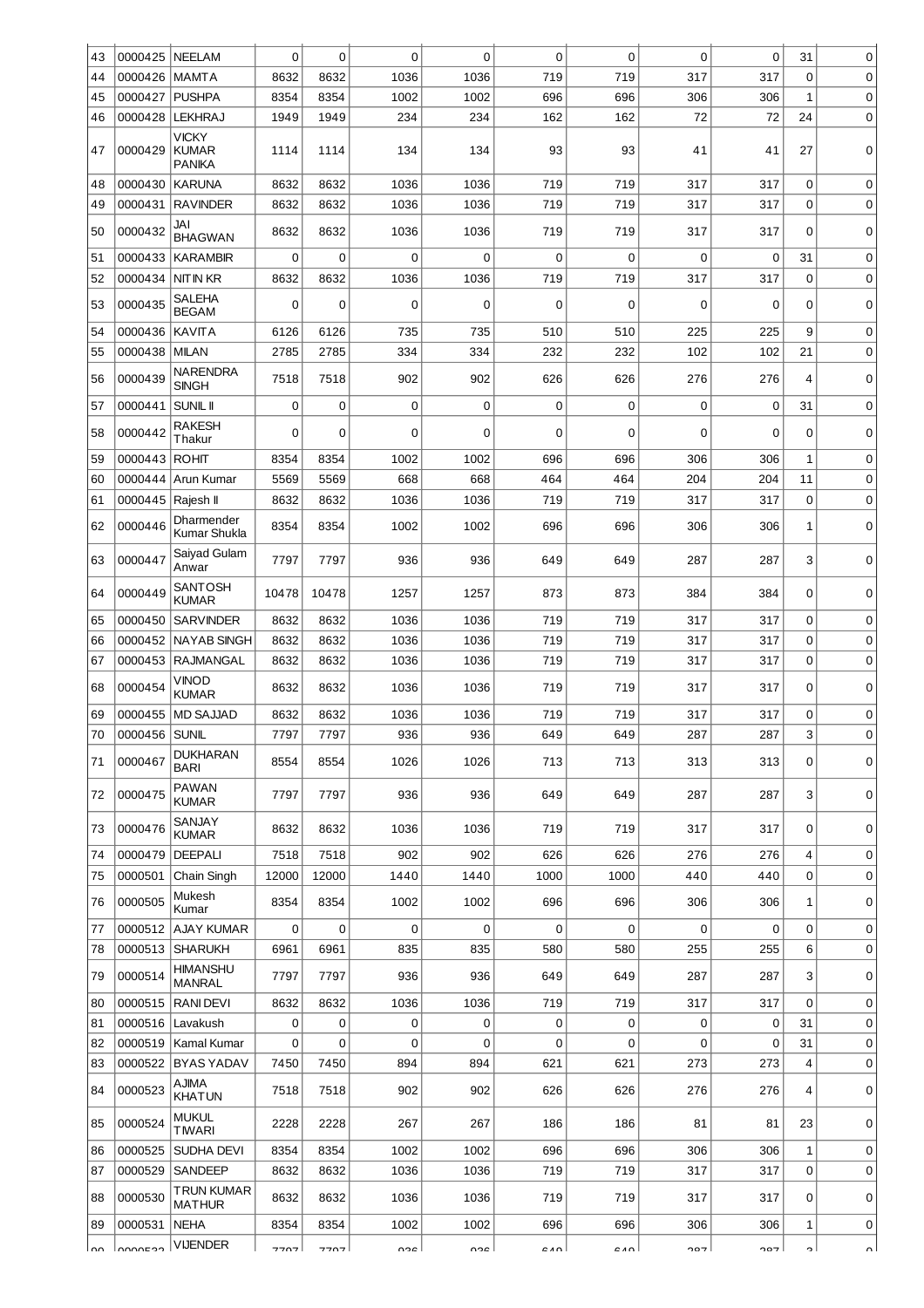| 43   | 0000425       | <b>NEELAM</b>                                 | $\Omega$    | 0     | $\Omega$    | $\Omega$    | $\mathbf 0$ | $\mathbf 0$ | $\mathbf 0$ | 0   | 31          | 0           |
|------|---------------|-----------------------------------------------|-------------|-------|-------------|-------------|-------------|-------------|-------------|-----|-------------|-------------|
| 44   | 0000426       | <b>MAMTA</b>                                  | 8632        | 8632  | 1036        | 1036        | 719         | 719         | 317         | 317 | $\Omega$    | 0           |
| 45   | 0000427       | <b>PUSHPA</b>                                 | 8354        | 8354  | 1002        | 1002        | 696         | 696         | 306         | 306 | 1           | 0           |
| 46   | 0000428       | <b>LEKHRAJ</b>                                | 1949        | 1949  | 234         | 234         | 162         | 162         | 72          | 72  | 24          | 0           |
| 47   | 0000429       | <b>VICKY</b><br><b>KUMAR</b><br><b>PANIKA</b> | 1114        | 1114  | 134         | 134         | 93          | 93          | 41          | 41  | 27          | 0           |
| 48   | 0000430       | <b>KARUNA</b>                                 | 8632        | 8632  | 1036        | 1036        | 719         | 719         | 317         | 317 | 0           | $\mathbf 0$ |
| 49   | 0000431       | <b>RAVINDER</b>                               | 8632        | 8632  | 1036        | 1036        | 719         | 719         | 317         | 317 | 0           | 0           |
| 50   | 0000432       | JAI<br><b>BHAGWAN</b>                         | 8632        | 8632  | 1036        | 1036        | 719         | 719         | 317         | 317 | $\Omega$    | 0           |
| 51   | 0000433       | <b>KARAMBIR</b>                               | $\mathbf 0$ | 0     | $\mathbf 0$ | $\Omega$    | $\mathbf 0$ | $\mathbf 0$ | 0           | 0   | 31          | 0           |
| 52   | 0000434       | <b>NIT IN KR</b>                              | 8632        | 8632  | 1036        | 1036        | 719         | 719         | 317         | 317 | 0           | 0           |
| 53   | 0000435       | SALEHA<br><b>BEGAM</b>                        | 0           | 0     | $\mathbf 0$ | $\Omega$    | $\mathbf 0$ | $\mathbf 0$ | $\mathbf 0$ | 0   | 0           | 0           |
| 54   | 0000436       | <b>KAVITA</b>                                 | 6126        | 6126  | 735         | 735         | 510         | 510         | 225         | 225 | 9           | 0           |
| 55   | 0000438       | <b>MILAN</b>                                  | 2785        | 2785  | 334         | 334         | 232         | 232         | 102         | 102 | 21          | $\mathbf 0$ |
| 56   | 0000439       | <b>NARENDRA</b><br><b>SINGH</b>               | 7518        | 7518  | 902         | 902         | 626         | 626         | 276         | 276 | 4           | 0           |
| 57   | 0000441       | <b>SUNIL II</b>                               | $\mathbf 0$ | 0     | $\mathbf 0$ | $\mathbf 0$ | $\mathbf 0$ | $\mathbf 0$ | $\mathbf 0$ | 0   | 31          | 0           |
| 58   | 0000442       | <b>RAKESH</b><br>Thakur                       | $\Omega$    | 0     | 0           | 0           | 0           | $\mathbf 0$ | 0           | 0   | 0           | 0           |
| 59   | 0000443       | <b>ROHIT</b>                                  | 8354        | 8354  | 1002        | 1002        | 696         | 696         | 306         | 306 | $\mathbf 1$ | 0           |
| 60   | 0000444       | Arun Kumar                                    | 5569        | 5569  | 668         | 668         | 464         | 464         | 204         | 204 | 11          | 0           |
| 61   | 0000445       | Rajesh II                                     | 8632        | 8632  | 1036        | 1036        | 719         | 719         | 317         | 317 | 0           | 0           |
| 62   | 0000446       | Dharmender<br>Kumar Shukla                    | 8354        | 8354  | 1002        | 1002        | 696         | 696         | 306         | 306 | 1           | 0           |
| 63   | 0000447       | Saiyad Gulam<br>Anwar                         | 7797        | 7797  | 936         | 936         | 649         | 649         | 287         | 287 | 3           | 0           |
| 64   | 0000449       | <b>SANTOSH</b><br><b>KUMAR</b>                | 10478       | 10478 | 1257        | 1257        | 873         | 873         | 384         | 384 | 0           | 0           |
| 65   | 0000450       | <b>SARVINDER</b>                              | 8632        | 8632  | 1036        | 1036        | 719         | 719         | 317         | 317 | 0           | 0           |
| 66   | 0000452       | <b>NAYAB SINGH</b>                            | 8632        | 8632  | 1036        | 1036        | 719         | 719         | 317         | 317 | 0           | $\mathbf 0$ |
| 67   | 0000453       | RAJMANGAL                                     | 8632        | 8632  | 1036        | 1036        | 719         | 719         | 317         | 317 | 0           | 0           |
| 68   | 0000454       | VINOD<br><b>KUMAR</b>                         | 8632        | 8632  | 1036        | 1036        | 719         | 719         | 317         | 317 | 0           | 0           |
| 69   | 0000455       | <b>MD SAJJAD</b>                              | 8632        | 8632  | 1036        | 1036        | 719         | 719         | 317         | 317 | 0           | 0           |
| 70   | 0000456 SUNIL |                                               | 7797        | 7797  | 936         | 936         | 649         | 649         | 287         | 287 | 3           | 0           |
| 71   | 0000467       | <b>DUKHARAN</b><br><b>BARI</b>                | 8554        | 8554  | 1026        | 1026        | 713         | 713         | 313         | 313 | 0           | 0           |
| 72   | 0000475       | <b>PAWAN</b><br><b>KUMAR</b>                  | 7797        | 7797  | 936         | 936         | 649         | 649         | 287         | 287 | 3           | 0           |
| 73   | 0000476       | SANJAY<br><b>KUMAR</b>                        | 8632        | 8632  | 1036        | 1036        | 719         | 719         | 317         | 317 | 0           | 0           |
| 74   | 0000479       | <b>DEEPALI</b>                                | 7518        | 7518  | 902         | 902         | 626         | 626         | 276         | 276 | 4           | 0           |
| 75   | 0000501       | Chain Singh                                   | 12000       | 12000 | 1440        | 1440        | 1000        | 1000        | 440         | 440 | 0           | 0           |
| 76   | 0000505       | Mukesh<br>Kumar                               | 8354        | 8354  | 1002        | 1002        | 696         | 696         | 306         | 306 | 1           | 0           |
| 77   | 0000512       | <b>AJAY KUMAR</b>                             | $\mathbf 0$ | 0     | $\mathbf 0$ | $\mathbf 0$ | $\mathbf 0$ | $\mathbf 0$ | 0           | 0   | 0           | 0           |
| 78   | 0000513       | <b>SHARUKH</b>                                | 6961        | 6961  | 835         | 835         | 580         | 580         | 255         | 255 | 6           | 0           |
| 79   | 0000514       | <b>HIMANSHU</b><br><b>MANRAL</b>              | 7797        | 7797  | 936         | 936         | 649         | 649         | 287         | 287 | 3           | 0           |
| 80   |               | 0000515   RANI DEVI                           | 8632        | 8632  | 1036        | 1036        | 719         | 719         | 317         | 317 | 0           | 0           |
| 81   | 0000516       | Lavakush                                      | 0           | 0     | 0           | 0           | 0           | 0           | 0           | 0   | 31          | 0           |
| 82   | 0000519       | Kamal Kumar                                   | 0           | 0     | 0           | 0           | $\mathbf 0$ | $\mathbf 0$ | $\mathbf 0$ | 0   | 31          | 0           |
| 83   | 0000522       | <b>BYAS YADAV</b>                             | 7450        | 7450  | 894         | 894         | 621         | 621         | 273         | 273 | 4           | 0           |
| 84   | 0000523       | AJIMA<br><b>KHATUN</b>                        | 7518        | 7518  | 902         | 902         | 626         | 626         | 276         | 276 | 4           | 0           |
| 85   | 0000524       | MUKUL<br><b>TIWARI</b>                        | 2228        | 2228  | 267         | 267         | 186         | 186         | 81          | 81  | 23          | 0           |
| 86   | 0000525       | <b>SUDHA DEVI</b>                             | 8354        | 8354  | 1002        | 1002        | 696         | 696         | 306         | 306 | 1           | 0           |
| 87   | 0000529       | SANDEEP                                       | 8632        | 8632  | 1036        | 1036        | 719         | 719         | 317         | 317 | 0           | 0           |
| 88   | 0000530       | TRUN KUMAR<br><b>MATHUR</b>                   | 8632        | 8632  | 1036        | 1036        | 719         | 719         | 317         | 317 | 0           | 0           |
| 89   | 0000531       | <b>NEHA</b>                                   | 8354        | 8354  | 1002        | 1002        | 696         | 696         | 306         | 306 | 1           | 0           |
| ا مہ | reannnl       | <b>VIJENDER</b>                               | 7707        | 7707  | חרים        | noc l       | ا م م       | <b>GAO</b>  | דסר         | 707 | c           | nΙ          |